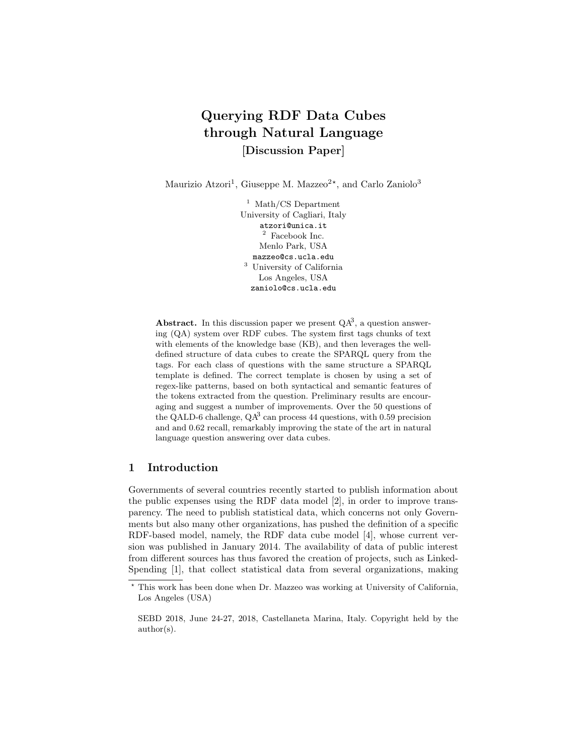# Querying RDF Data Cubes through Natural Language [Discussion Paper]

Maurizio Atzori<sup>1</sup>, Giuseppe M. Mazzeo<sup>2\*</sup>, and Carlo Zaniolo<sup>3</sup>

<sup>1</sup> Math/CS Department University of Cagliari, Italy atzori@unica.it  $^{\rm 2}$  Facebook Inc. Menlo Park, USA mazzeo@cs.ucla.edu <sup>3</sup> University of California Los Angeles, USA zaniolo@cs.ucla.edu

Abstract. In this discussion paper we present  $QA^3$ , a question answering (QA) system over RDF cubes. The system first tags chunks of text with elements of the knowledge base (KB), and then leverages the welldefined structure of data cubes to create the SPARQL query from the tags. For each class of questions with the same structure a SPARQL template is defined. The correct template is chosen by using a set of regex-like patterns, based on both syntactical and semantic features of the tokens extracted from the question. Preliminary results are encouraging and suggest a number of improvements. Over the 50 questions of the QALD-6 challenge,  $QA^3$  can process 44 questions, with 0.59 precision and and 0.62 recall, remarkably improving the state of the art in natural language question answering over data cubes.

# 1 Introduction

Governments of several countries recently started to publish information about the public expenses using the RDF data model [\[2\]](#page-7-0), in order to improve transparency. The need to publish statistical data, which concerns not only Governments but also many other organizations, has pushed the definition of a specific RDF-based model, namely, the RDF data cube model [\[4\]](#page-7-1), whose current version was published in January 2014. The availability of data of public interest from different sources has thus favored the creation of projects, such as Linked-Spending [\[1\]](#page-7-2), that collect statistical data from several organizations, making

<sup>?</sup> This work has been done when Dr. Mazzeo was working at University of California, Los Angeles (USA)

SEBD 2018, June 24-27, 2018, Castellaneta Marina, Italy. Copyright held by the author(s).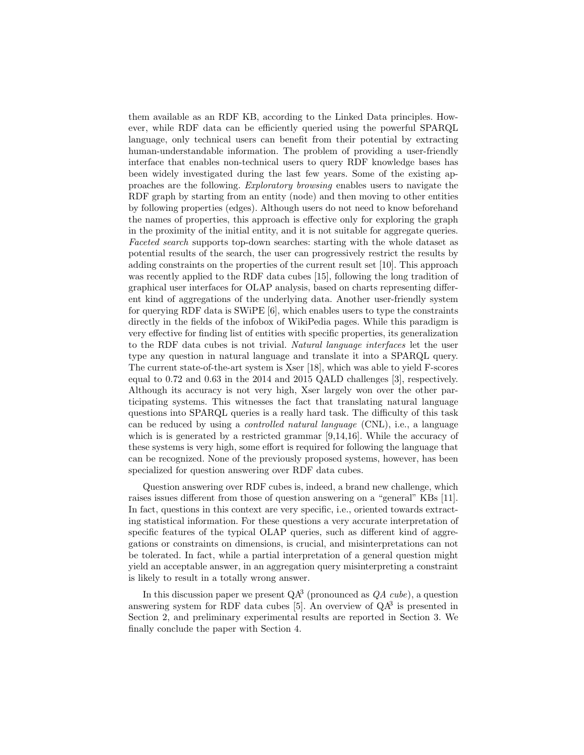them available as an RDF KB, according to the Linked Data principles. However, while RDF data can be efficiently queried using the powerful SPARQL language, only technical users can benefit from their potential by extracting human-understandable information. The problem of providing a user-friendly interface that enables non-technical users to query RDF knowledge bases has been widely investigated during the last few years. Some of the existing approaches are the following. Exploratory browsing enables users to navigate the RDF graph by starting from an entity (node) and then moving to other entities by following properties (edges). Although users do not need to know beforehand the names of properties, this approach is effective only for exploring the graph in the proximity of the initial entity, and it is not suitable for aggregate queries. Faceted search supports top-down searches: starting with the whole dataset as potential results of the search, the user can progressively restrict the results by adding constraints on the properties of the current result set [\[10\]](#page-7-3). This approach was recently applied to the RDF data cubes [\[15\]](#page-7-4), following the long tradition of graphical user interfaces for OLAP analysis, based on charts representing different kind of aggregations of the underlying data. Another user-friendly system for querying RDF data is SWiPE [\[6\]](#page-7-5), which enables users to type the constraints directly in the fields of the infobox of WikiPedia pages. While this paradigm is very effective for finding list of entities with specific properties, its generalization to the RDF data cubes is not trivial. Natural language interfaces let the user type any question in natural language and translate it into a SPARQL query. The current state-of-the-art system is Xser [\[18\]](#page-7-6), which was able to yield F-scores equal to 0.72 and 0.63 in the 2014 and 2015 QALD challenges [\[3\]](#page-7-7), respectively. Although its accuracy is not very high, Xser largely won over the other participating systems. This witnesses the fact that translating natural language questions into SPARQL queries is a really hard task. The difficulty of this task can be reduced by using a controlled natural language (CNL), i.e., a language which is is generated by a restricted grammar [\[9,](#page-7-8)[14,](#page-7-9)[16\]](#page-7-10). While the accuracy of these systems is very high, some effort is required for following the language that can be recognized. None of the previously proposed systems, however, has been specialized for question answering over RDF data cubes.

Question answering over RDF cubes is, indeed, a brand new challenge, which raises issues different from those of question answering on a "general" KBs [\[11\]](#page-7-11). In fact, questions in this context are very specific, i.e., oriented towards extracting statistical information. For these questions a very accurate interpretation of specific features of the typical OLAP queries, such as different kind of aggregations or constraints on dimensions, is crucial, and misinterpretations can not be tolerated. In fact, while a partial interpretation of a general question might yield an acceptable answer, in an aggregation query misinterpreting a constraint is likely to result in a totally wrong answer.

In this discussion paper we present  $QA^3$  (pronounced as  $QA$  cube), a question answering system for RDF data cubes [\[5\]](#page-7-12). An overview of  $QA^3$  is presented in Section [2,](#page-2-0) and preliminary experimental results are reported in Section [3.](#page-5-0) We finally conclude the paper with Section [4.](#page-6-0)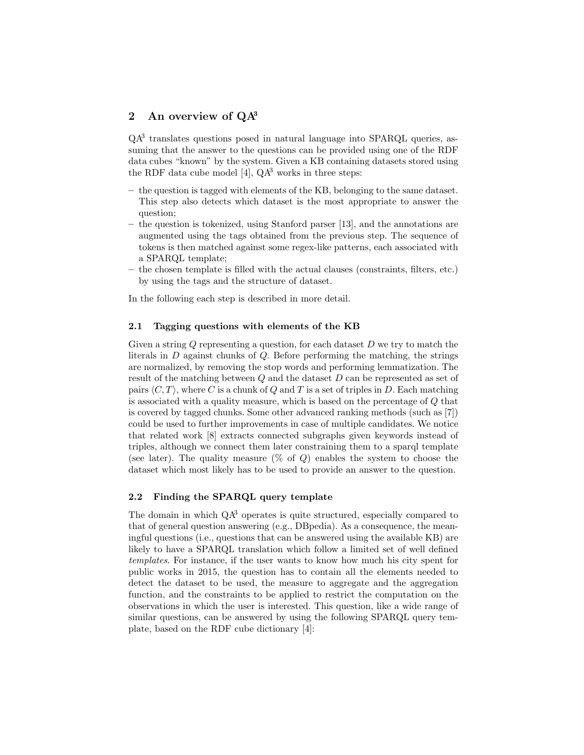# <span id="page-2-0"></span>2 An overview of  $QA^3$

QA<sup>3</sup> translates questions posed in natural language into SPARQL queries, assuming that the answer to the questions can be provided using one of the RDF data cubes "known" by the system. Given a KB containing datasets stored using the RDF data cube model [\[4\]](#page-7-1),  $QA^3$  works in three steps:

- the question is tagged with elements of the KB, belonging to the same dataset. This step also detects which dataset is the most appropriate to answer the question;
- the question is tokenized, using Stanford parser [\[13\]](#page-7-13), and the annotations are augmented using the tags obtained from the previous step. The sequence of tokens is then matched against some regex-like patterns, each associated with a SPARQL template;
- the chosen template is filled with the actual clauses (constraints, filters, etc.) by using the tags and the structure of dataset.

In the following each step is described in more detail.

#### 2.1 Tagging questions with elements of the KB

Given a string  $Q$  representing a question, for each dataset  $D$  we try to match the literals in D against chunks of Q. Before performing the matching, the strings are normalized, by removing the stop words and performing lemmatization. The result of the matching between Q and the dataset D can be represented as set of pairs  $\langle C, T \rangle$ , where C is a chunk of Q and T is a set of triples in D. Each matching is associated with a quality measure, which is based on the percentage of Q that is covered by tagged chunks. Some other advanced ranking methods (such as [\[7\]](#page-7-14)) could be used to further improvements in case of multiple candidates. We notice that related work [\[8\]](#page-7-15) extracts connected subgraphs given keywords instead of triples, although we connect them later constraining them to a sparql template (see later). The quality measure  $(\%$  of Q) enables the system to choose the dataset which most likely has to be used to provide an answer to the question.

#### 2.2 Finding the SPARQL query template

The domain in which  $QA^3$  operates is quite structured, especially compared to that of general question answering (e.g., DBpedia). As a consequence, the meaningful questions (i.e., questions that can be answered using the available KB) are likely to have a SPARQL translation which follow a limited set of well defined templates. For instance, if the user wants to know how much his city spent for public works in 2015, the question has to contain all the elements needed to detect the dataset to be used, the measure to aggregate and the aggregation function, and the constraints to be applied to restrict the computation on the observations in which the user is interested. This question, like a wide range of similar questions, can be answered by using the following SPARQL query template, based on the RDF cube dictionary [\[4\]](#page-7-1):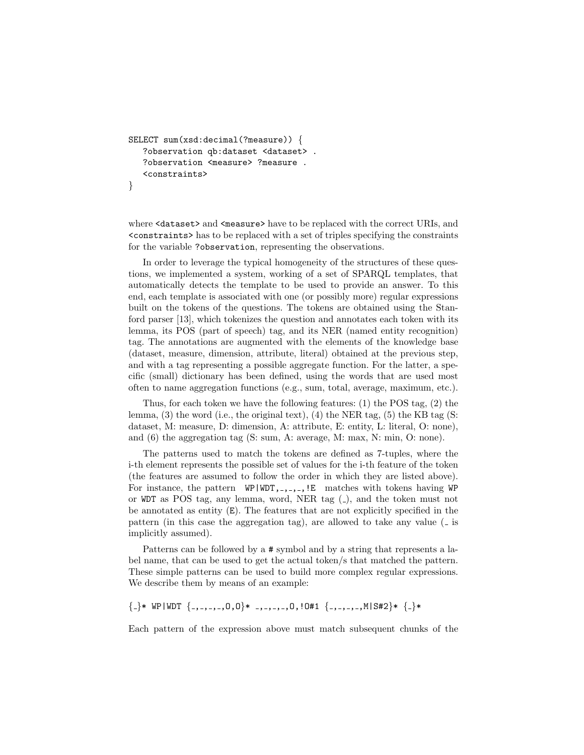```
SELECT sum(xsd:decimal(?measure)) {
  ?observation qb:dataset <dataset>
  ?observation <measure> ?measure .
  <constraints>
}
```
where <dataset> and <measure> have to be replaced with the correct URIs, and <constraints> has to be replaced with a set of triples specifying the constraints for the variable ?observation, representing the observations.

In order to leverage the typical homogeneity of the structures of these questions, we implemented a system, working of a set of SPARQL templates, that automatically detects the template to be used to provide an answer. To this end, each template is associated with one (or possibly more) regular expressions built on the tokens of the questions. The tokens are obtained using the Stanford parser [\[13\]](#page-7-13), which tokenizes the question and annotates each token with its lemma, its POS (part of speech) tag, and its NER (named entity recognition) tag. The annotations are augmented with the elements of the knowledge base (dataset, measure, dimension, attribute, literal) obtained at the previous step, and with a tag representing a possible aggregate function. For the latter, a specific (small) dictionary has been defined, using the words that are used most often to name aggregation functions (e.g., sum, total, average, maximum, etc.).

Thus, for each token we have the following features: (1) the POS tag, (2) the lemma,  $(3)$  the word (i.e., the original text),  $(4)$  the NER tag,  $(5)$  the KB tag (S: dataset, M: measure, D: dimension, A: attribute, E: entity, L: literal, O: none), and (6) the aggregation tag (S: sum, A: average, M: max, N: min, O: none).

The patterns used to match the tokens are defined as 7-tuples, where the i-th element represents the possible set of values for the i-th feature of the token (the features are assumed to follow the order in which they are listed above). For instance, the pattern  $WP|WDT, ..., ...$ ! E matches with tokens having WP or WDT as POS tag, any lemma, word, NER tag ( ), and the token must not be annotated as entity (E). The features that are not explicitly specified in the pattern (in this case the aggregation tag), are allowed to take any value  $($ . is implicitly assumed).

Patterns can be followed by a # symbol and by a string that represents a label name, that can be used to get the actual token/s that matched the pattern. These simple patterns can be used to build more complex regular expressions. We describe them by means of an example:

 $\{\_ \} * \text{WP} \cup \text{WD} \ \{\_ ,\_ ,\_ ,\_ ,0,0\} * \_ ,\_ ,\_ ,\_ ,0,10#1 \ \{\_ ,\_ ,\_ ,\_ ,\_ ,\} * \{\_ \ * \$ 

Each pattern of the expression above must match subsequent chunks of the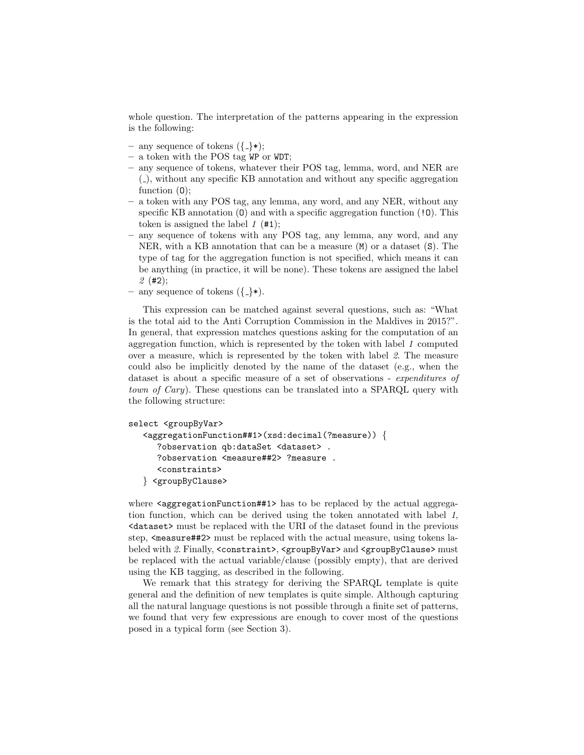whole question. The interpretation of the patterns appearing in the expression is the following:

- any sequence of tokens  $({},\$
- a token with the POS tag WP or WDT;
- any sequence of tokens, whatever their POS tag, lemma, word, and NER are  $(\_)$ , without any specific KB annotation and without any specific aggregation function (O);
- a token with any POS tag, any lemma, any word, and any NER, without any specific KB annotation  $(0)$  and with a specific aggregation function  $(10)$ . This token is assigned the label  $1$  (#1);
- any sequence of tokens with any POS tag, any lemma, any word, and any NER, with a KB annotation that can be a measure  $(M)$  or a dataset  $(S)$ . The type of tag for the aggregation function is not specified, which means it can be anything (in practice, it will be none). These tokens are assigned the label  $2(42);$
- any sequence of tokens  $({},\$

This expression can be matched against several questions, such as: "What is the total aid to the Anti Corruption Commission in the Maldives in 2015?". In general, that expression matches questions asking for the computation of an aggregation function, which is represented by the token with label 1 computed over a measure, which is represented by the token with label 2. The measure could also be implicitly denoted by the name of the dataset (e.g., when the dataset is about a specific measure of a set of observations - expenditures of town of Cary). These questions can be translated into a SPARQL query with the following structure:

```
select <groupByVar>
  <aggregationFunction##1>(xsd:decimal(?measure)) {
     ?observation qb:dataSet <dataset> .
     ?observation <measure##2> ?measure .
      <constraints>
  } <groupByClause>
```
where <aggregationFunction##1> has to be replaced by the actual aggregation function, which can be derived using the token annotated with label 1, <dataset> must be replaced with the URI of the dataset found in the previous step,  $\epsilon$  measure##2> must be replaced with the actual measure, using tokens labeled with 2. Finally, <constraint>, <groupByVar> and <groupByClause> must be replaced with the actual variable/clause (possibly empty), that are derived using the KB tagging, as described in the following.

We remark that this strategy for deriving the SPARQL template is quite general and the definition of new templates is quite simple. Although capturing all the natural language questions is not possible through a finite set of patterns, we found that very few expressions are enough to cover most of the questions posed in a typical form (see Section [3\)](#page-5-0).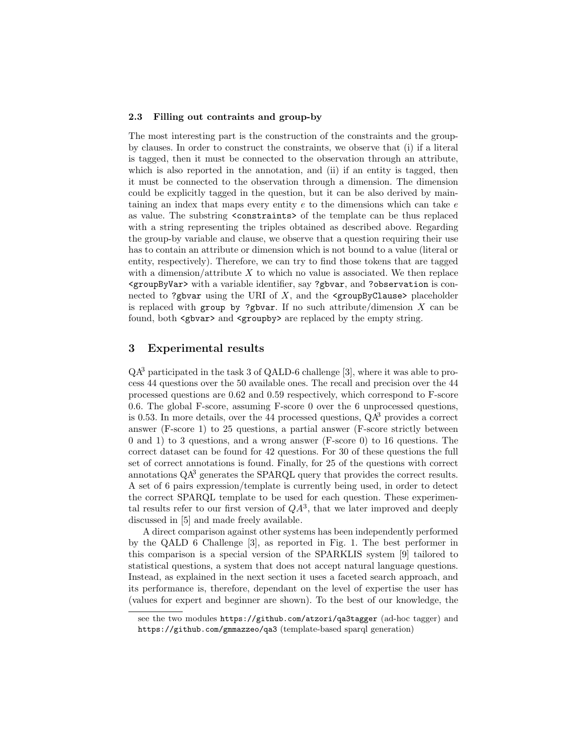#### 2.3 Filling out contraints and group-by

The most interesting part is the construction of the constraints and the groupby clauses. In order to construct the constraints, we observe that (i) if a literal is tagged, then it must be connected to the observation through an attribute, which is also reported in the annotation, and (ii) if an entity is tagged, then it must be connected to the observation through a dimension. The dimension could be explicitly tagged in the question, but it can be also derived by maintaining an index that maps every entity  $e$  to the dimensions which can take  $e$ as value. The substring <constraints> of the template can be thus replaced with a string representing the triples obtained as described above. Regarding the group-by variable and clause, we observe that a question requiring their use has to contain an attribute or dimension which is not bound to a value (literal or entity, respectively). Therefore, we can try to find those tokens that are tagged with a dimension/attribute  $X$  to which no value is associated. We then replace <groupByVar> with a variable identifier, say ?gbvar, and ?observation is connected to ?gbvar using the URI of  $X$ , and the  $\epsilon$ groupByClause> placeholder is replaced with group by ?gbvar. If no such attribute/dimension  $X$  can be found, both <gbvar> and <groupby> are replaced by the empty string.

# <span id="page-5-0"></span>3 Experimental results

 $QA^3$  participated in the task 3 of QALD-6 challenge [\[3\]](#page-7-7), where it was able to process 44 questions over the 50 available ones. The recall and precision over the 44 processed questions are 0.62 and 0.59 respectively, which correspond to F-score 0.6. The global F-score, assuming F-score 0 over the 6 unprocessed questions, is 0.53. In more details, over the 44 processed questions,  $QA^3$  provides a correct answer (F-score 1) to 25 questions, a partial answer (F-score strictly between 0 and 1) to 3 questions, and a wrong answer (F-score 0) to 16 questions. The correct dataset can be found for 42 questions. For 30 of these questions the full set of correct annotations is found. Finally, for 25 of the questions with correct annotations  $QA^3$  generates the SPARQL query that provides the correct results. A set of 6 pairs expression/template is currently being used, in order to detect the correct SPARQL template to be used for each question. These experimental results refer to our first version of  $QA^3$ , that we later improved and deeply discussed in [\[5\]](#page-7-12) and made freely availabl[e.](#page-5-1)

A direct comparison against other systems has been independently performed by the QALD 6 Challenge [\[3\]](#page-7-7), as reported in Fig. [1.](#page-6-1) The best performer in this comparison is a special version of the SPARKLIS system [\[9\]](#page-7-8) tailored to statistical questions, a system that does not accept natural language questions. Instead, as explained in the next section it uses a faceted search approach, and its performance is, therefore, dependant on the level of expertise the user has (values for expert and beginner are shown). To the best of our knowledge, the

<span id="page-5-1"></span>see the two modules <https://github.com/atzori/qa3tagger> (ad-hoc tagger) and <https://github.com/gmmazzeo/qa3> (template-based sparql generation)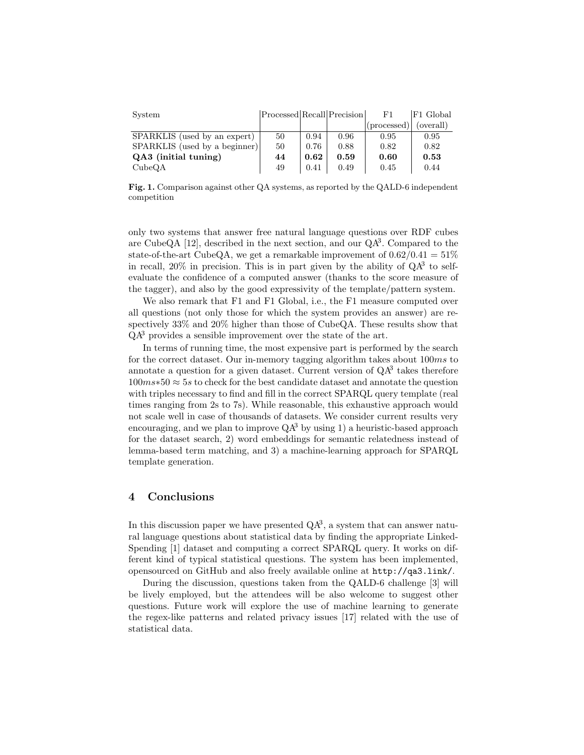| System                        | Processed Recall Precision |      |      | $_{\rm F1}$          | F1 Global |
|-------------------------------|----------------------------|------|------|----------------------|-----------|
|                               |                            |      |      | $ {\rm(processed)} $ | (overall) |
| SPARKLIS (used by an expert)  | 50                         | 0.94 | 0.96 | 0.95                 | 0.95      |
| SPARKLIS (used by a beginner) | 50                         | 0.76 | 0.88 | 0.82                 | 0.82      |
| QA3 (initial tuning)          | 44                         | 0.62 | 0.59 | 0.60                 | 0.53      |
| CubeOA                        | 49                         | 0.41 | 0.49 | 0.45                 | 0.44      |

<span id="page-6-1"></span>Fig. 1. Comparison against other QA systems, as reported by the QALD-6 independent competition

only two systems that answer free natural language questions over RDF cubes are CubeQA  $[12]$ , described in the next section, and our  $QA<sup>3</sup>$ . Compared to the state-of-the-art CubeQA, we get a remarkable improvement of  $0.62/0.41 = 51\%$ in recall,  $20\%$  in precision. This is in part given by the ability of  $QA^3$  to selfevaluate the confidence of a computed answer (thanks to the score measure of the tagger), and also by the good expressivity of the template/pattern system.

We also remark that F1 and F1 Global, i.e., the F1 measure computed over all questions (not only those for which the system provides an answer) are respectively 33% and 20% higher than those of CubeQA. These results show that QA<sup>3</sup> provides a sensible improvement over the state of the art.

In terms of running time, the most expensive part is performed by the search for the correct dataset. Our in-memory tagging algorithm takes about 100ms to annotate a question for a given dataset. Current version of  $QA^3$  takes therefore  $100ms*50 \approx 5s$  to check for the best candidate dataset and annotate the question with triples necessary to find and fill in the correct SPARQL query template (real times ranging from 2s to 7s). While reasonable, this exhaustive approach would not scale well in case of thousands of datasets. We consider current results very encouraging, and we plan to improve  $QA^3$  by using 1) a heuristic-based approach for the dataset search, 2) word embeddings for semantic relatedness instead of lemma-based term matching, and 3) a machine-learning approach for SPARQL template generation.

## <span id="page-6-0"></span>4 Conclusions

In this discussion paper we have presented  $QA^3$ , a system that can answer natural language questions about statistical data by finding the appropriate Linked-Spending [\[1\]](#page-7-2) dataset and computing a correct SPARQL query. It works on different kind of typical statistical questions. The system has been implemented, opensourced on GitHub and also freely available online at <http://qa3.link/>.

During the discussion, questions taken from the QALD-6 challenge [\[3\]](#page-7-7) will be lively employed, but the attendees will be also welcome to suggest other questions. Future work will explore the use of machine learning to generate the regex-like patterns and related privacy issues [\[17\]](#page-7-17) related with the use of statistical data.